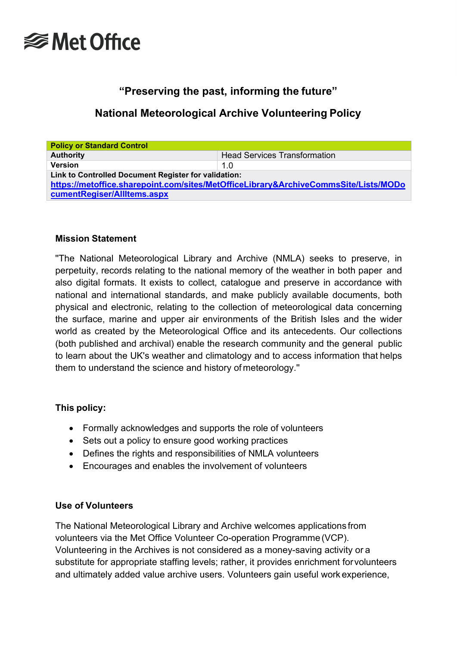

# **"Preserving the past, informing the future"**

# **National Meteorological Archive Volunteering Policy**

| <b>Policy or Standard Control</b>                                                   |                                     |  |  |  |
|-------------------------------------------------------------------------------------|-------------------------------------|--|--|--|
| <b>Authority</b>                                                                    | <b>Head Services Transformation</b> |  |  |  |
| <b>Version</b>                                                                      | 1.0                                 |  |  |  |
| Link to Controlled Document Register for validation:                                |                                     |  |  |  |
| https://metoffice.sharepoint.com/sites/MetOfficeLibrary&ArchiveCommsSite/Lists/MODo |                                     |  |  |  |
| cumentRegiser/AllItems.aspx                                                         |                                     |  |  |  |

#### **Mission Statement**

''The National Meteorological Library and Archive (NMLA) seeks to preserve, in perpetuity, records relating to the national memory of the weather in both paper and also digital formats. It exists to collect, catalogue and preserve in accordance with national and international standards, and make publicly available documents, both physical and electronic, relating to the collection of meteorological data concerning the surface, marine and upper air environments of the British Isles and the wider world as created by the Meteorological Office and its antecedents. Our collections (both published and archival) enable the research community and the general public to learn about the UK's weather and climatology and to access information that helps them to understand the science and history of meteorology.''

#### **This policy:**

- Formally acknowledges and supports the role of volunteers
- Sets out a policy to ensure good working practices
- Defines the rights and responsibilities of NMLA volunteers
- Encourages and enables the involvement of volunteers

# **Use of Volunteers**

The National Meteorological Library and Archive welcomes applications from volunteers via the Met Office Volunteer Co-operation Programme(VCP). Volunteering in the Archives is not considered as a money-saving activity or a substitute for appropriate staffing levels; rather, it provides enrichment forvolunteers and ultimately added value archive users. Volunteers gain useful work experience,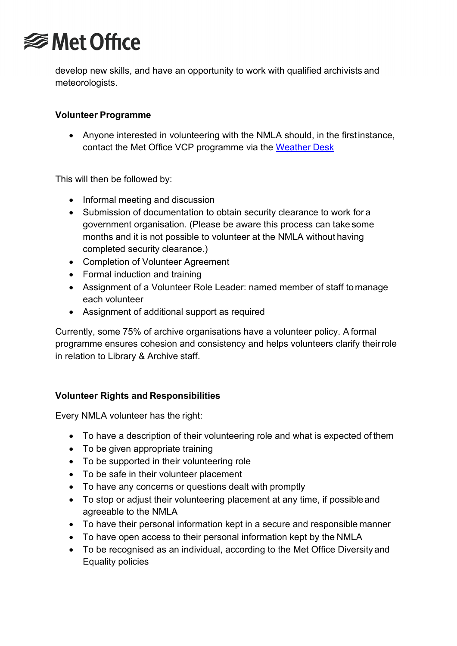

develop new skills, and have an opportunity to work with qualified archivists and meteorologists.

### **Volunteer Programme**

• Anyone interested in volunteering with the NMLA should, in the firstinstance, contact the Met Office VCP programme via the [Weather](mailto:enquries@metoffice.gov.uk) Desk

This will then be followed by:

- Informal meeting and discussion
- Submission of documentation to obtain security clearance to work for a government organisation. (Please be aware this process can take some months and it is not possible to volunteer at the NMLA without having completed security clearance.)
- Completion of Volunteer Agreement
- Formal induction and training
- Assignment of a Volunteer Role Leader: named member of staff tomanage each volunteer
- Assignment of additional support as required

Currently, some 75% of archive organisations have a volunteer policy. A formal programme ensures cohesion and consistency and helps volunteers clarify theirrole in relation to Library & Archive staff.

#### **Volunteer Rights and Responsibilities**

Every NMLA volunteer has the right:

- To have a description of their volunteering role and what is expected of them
- To be given appropriate training
- To be supported in their volunteering role
- To be safe in their volunteer placement
- To have any concerns or questions dealt with promptly
- To stop or adjust their volunteering placement at any time, if possibleand agreeable to the NMLA
- To have their personal information kept in a secure and responsible manner
- To have open access to their personal information kept by the NMLA
- To be recognised as an individual, according to the Met Office Diversity and Equality policies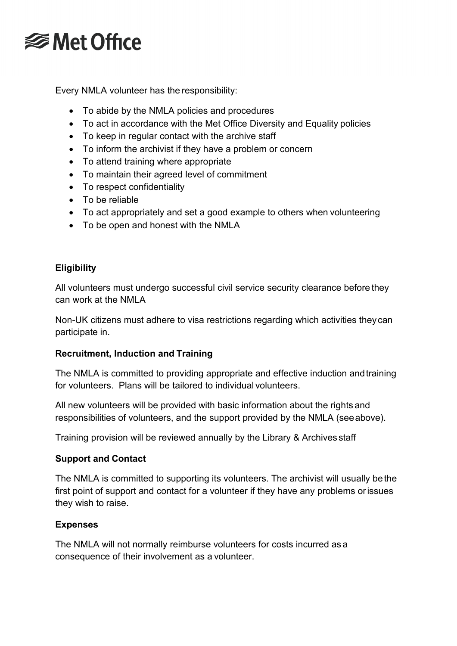

Every NMLA volunteer has the responsibility:

- To abide by the NMLA policies and procedures
- To act in accordance with the Met Office Diversity and Equality policies
- To keep in regular contact with the archive staff
- To inform the archivist if they have a problem or concern
- To attend training where appropriate
- To maintain their agreed level of commitment
- To respect confidentiality
- To be reliable
- To act appropriately and set a good example to others when volunteering
- To be open and honest with the NMLA

# **Eligibility**

All volunteers must undergo successful civil service security clearance before they can work at the NMLA

Non-UK citizens must adhere to visa restrictions regarding which activities theycan participate in.

# **Recruitment, Induction and Training**

The NMLA is committed to providing appropriate and effective induction andtraining for volunteers. Plans will be tailored to individual volunteers.

All new volunteers will be provided with basic information about the rights and responsibilities of volunteers, and the support provided by the NMLA (seeabove).

Training provision will be reviewed annually by the Library & Archives staff

# **Support and Contact**

The NMLA is committed to supporting its volunteers. The archivist will usually bethe first point of support and contact for a volunteer if they have any problems orissues they wish to raise.

# **Expenses**

The NMLA will not normally reimburse volunteers for costs incurred as a consequence of their involvement as a volunteer.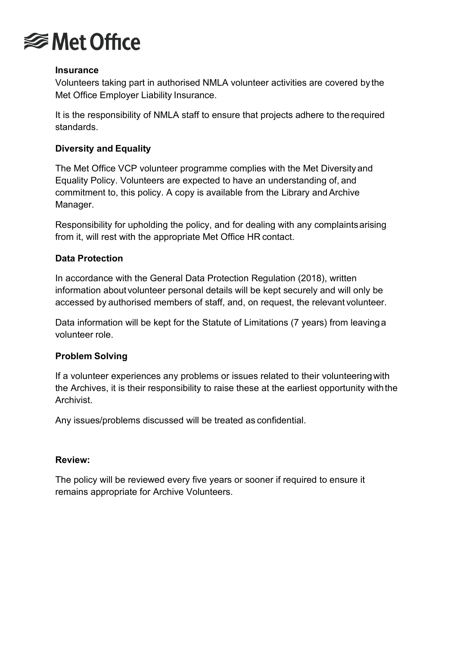

#### **Insurance**

Volunteers taking part in authorised NMLA volunteer activities are covered by the Met Office Employer Liability Insurance.

It is the responsibility of NMLA staff to ensure that projects adhere to the required standards.

#### **Diversity and Equality**

The Met Office VCP volunteer programme complies with the Met Diversity and Equality Policy. Volunteers are expected to have an understanding of, and commitment to, this policy. A copy is available from the Library and Archive Manager.

Responsibility for upholding the policy, and for dealing with any complaintsarising from it, will rest with the appropriate Met Office HR contact.

#### **Data Protection**

In accordance with the General Data Protection Regulation (2018), written information aboutvolunteer personal details will be kept securely and will only be accessed by authorised members of staff, and, on request, the relevant volunteer.

Data information will be kept for the Statute of Limitations (7 years) from leavinga volunteer role.

#### **Problem Solving**

If a volunteer experiences any problems or issues related to their volunteeringwith the Archives, it is their responsibility to raise these at the earliest opportunity withthe Archivist.

Any issues/problems discussed will be treated as confidential.

#### **Review:**

The policy will be reviewed every five years or sooner if required to ensure it remains appropriate for Archive Volunteers.